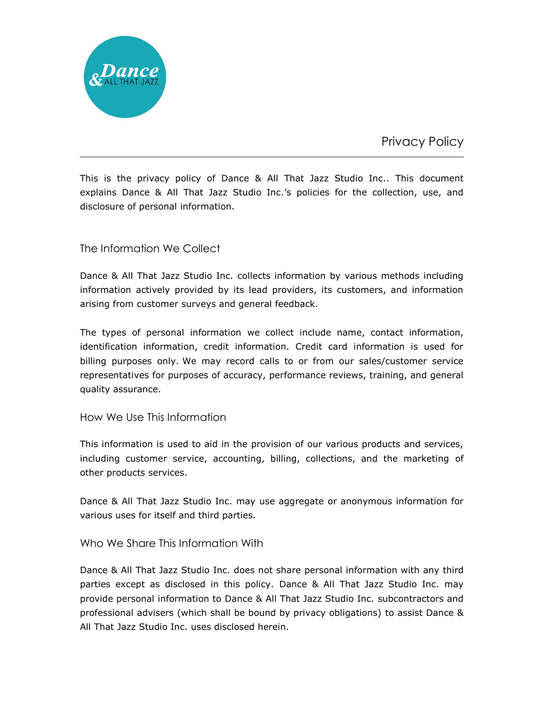

Privacy Policy

This is the privacy policy of Dance & All That Jazz Studio Inc.. This document explains Dance & All That Jazz Studio Inc.'s policies for the collection, use, and disclosure of personal information.

## The Information We Collect

Dance & All That Jazz Studio Inc. collects information by various methods including information actively provided by its lead providers, its customers, and information arising from customer surveys and general feedback.

The types of personal information we collect include name, contact information, identification information, credit information. Credit card information is used for billing purposes only. We may record calls to or from our sales/customer service representatives for purposes of accuracy, performance reviews, training, and general quality assurance.

### How We Use This Information

This information is used to aid in the provision of our various products and services, including customer service, accounting, billing, collections, and the marketing of other products services.

Dance & All That Jazz Studio Inc. may use aggregate or anonymous information for various uses for itself and third parties.

### Who We Share This Information With

Dance & All That Jazz Studio Inc. does not share personal information with any third parties except as disclosed in this policy. Dance & All That Jazz Studio Inc. may provide personal information to Dance & All That Jazz Studio Inc. subcontractors and professional advisers (which shall be bound by privacy obligations) to assist Dance & All That Jazz Studio Inc. uses disclosed herein.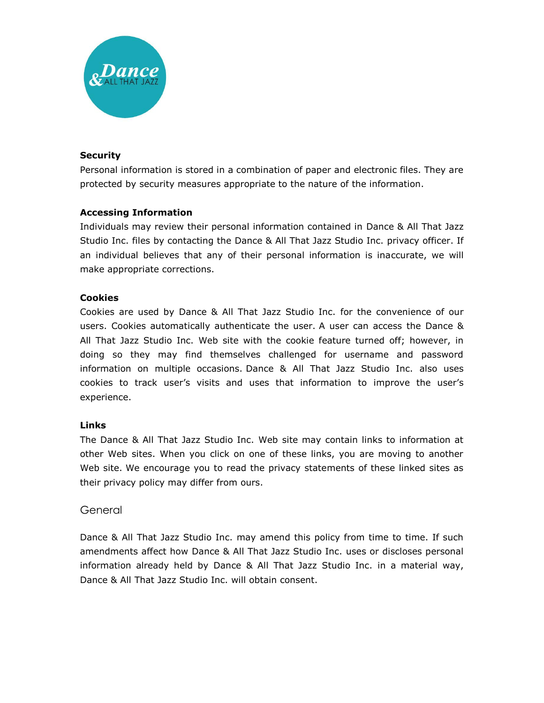

#### **Security**

Personal information is stored in a combination of paper and electronic files. They are protected by security measures appropriate to the nature of the information.

### **Accessing Information**

Individuals may review their personal information contained in Dance & All That Jazz Studio Inc. files by contacting the Dance & All That Jazz Studio Inc. privacy officer. If an individual believes that any of their personal information is inaccurate, we will make appropriate corrections.

#### **Cookies**

Cookies are used by Dance & All That Jazz Studio Inc. for the convenience of our users. Cookies automatically authenticate the user. A user can access the Dance & All That Jazz Studio Inc. Web site with the cookie feature turned off; however, in doing so they may find themselves challenged for username and password information on multiple occasions. Dance & All That Jazz Studio Inc. also uses cookies to track user's visits and uses that information to improve the user's experience.

#### **Links**

The Dance & All That Jazz Studio Inc. Web site may contain links to information at other Web sites. When you click on one of these links, you are moving to another Web site. We encourage you to read the privacy statements of these linked sites as their privacy policy may differ from ours.

### **General**

Dance & All That Jazz Studio Inc. may amend this policy from time to time. If such amendments affect how Dance & All That Jazz Studio Inc. uses or discloses personal information already held by Dance & All That Jazz Studio Inc. in a material way, Dance & All That Jazz Studio Inc. will obtain consent.